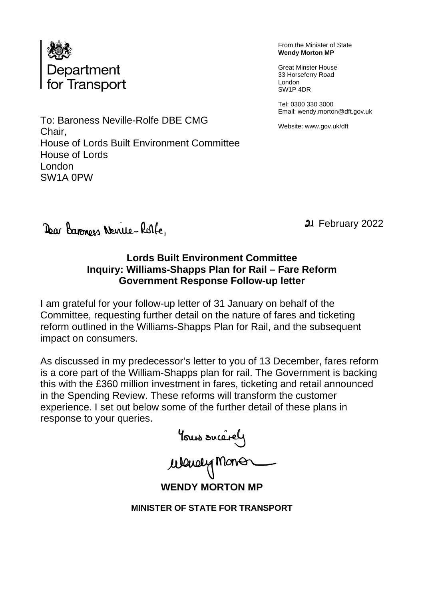

From the Minister of State **Wendy Morton MP**

Great Minster House 33 Horseferry Road London SW1P 4DR

Tel: 0300 330 3000 Email: wendy.morton@dft.gov.uk

Website: www.gov.uk/dft

To: Baroness Neville-Rolfe DBE CMG Chair, House of Lords Built Environment Committee House of Lords London SW1A 0PW

Dear Baronoss Neville-Rolle,

February 2022

# **Lords Built Environment Committee Inquiry: Williams-Shapps Plan for Rail – Fare Reform Government Response Follow-up letter**

I am grateful for your follow-up letter of 31 January on behalf of the Committee, requesting further detail on the nature of fares and ticketing reform outlined in the Williams-Shapps Plan for Rail, and the subsequent impact on consumers.

As discussed in my predecessor's letter to you of 13 December, fares reform is a core part of the William-Shapps plan for rail. The Government is backing this with the £360 million investment in fares, ticketing and retail announced in the Spending Review. These reforms will transform the customer experience. I set out below some of the further detail of these plans in response to your queries.

Yous succrey<br>Wewey Monor

**WENDY MORTON MP**

**MINISTER OF STATE FOR TRANSPORT**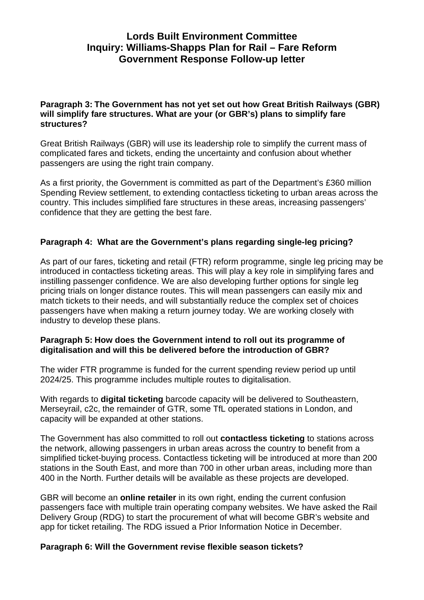## **Lords Built Environment Committee Inquiry: Williams-Shapps Plan for Rail – Fare Reform Government Response Follow-up letter**

#### **Paragraph 3: The Government has not yet set out how Great British Railways (GBR) will simplify fare structures. What are your (or GBR's) plans to simplify fare structures?**

Great British Railways (GBR) will use its leadership role to simplify the current mass of complicated fares and tickets, ending the uncertainty and confusion about whether passengers are using the right train company.

As a first priority, the Government is committed as part of the Department's £360 million Spending Review settlement, to extending contactless ticketing to urban areas across the country. This includes simplified fare structures in these areas, increasing passengers' confidence that they are getting the best fare.

## **Paragraph 4: What are the Government's plans regarding single-leg pricing?**

As part of our fares, ticketing and retail (FTR) reform programme, single leg pricing may be introduced in contactless ticketing areas. This will play a key role in simplifying fares and instilling passenger confidence. We are also developing further options for single leg pricing trials on longer distance routes. This will mean passengers can easily mix and match tickets to their needs, and will substantially reduce the complex set of choices passengers have when making a return journey today. We are working closely with industry to develop these plans.

## **Paragraph 5: How does the Government intend to roll out its programme of digitalisation and will this be delivered before the introduction of GBR?**

The wider FTR programme is funded for the current spending review period up until 2024/25. This programme includes multiple routes to digitalisation.

With regards to **digital ticketing** barcode capacity will be delivered to Southeastern, Merseyrail, c2c, the remainder of GTR, some TfL operated stations in London, and capacity will be expanded at other stations.

The Government has also committed to roll out **contactless ticketing** to stations across the network, allowing passengers in urban areas across the country to benefit from a simplified ticket-buying process. Contactless ticketing will be introduced at more than 200 stations in the South East, and more than 700 in other urban areas, including more than 400 in the North. Further details will be available as these projects are developed.

GBR will become an **online retailer** in its own right, ending the current confusion passengers face with multiple train operating company websites. We have asked the Rail Delivery Group (RDG) to start the procurement of what will become GBR's website and app for ticket retailing. The RDG issued a Prior Information Notice in December.

#### **Paragraph 6: Will the Government revise flexible season tickets?**